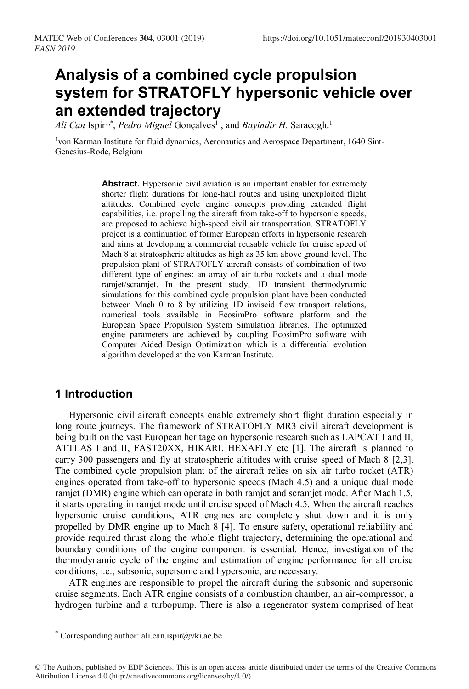# **Analysis of a combined cycle propulsion system for STRATOFLY hypersonic vehicle over an extended trajectory**

*Ali Can* Ispir<sup>1,\*</sup>, *Pedro Miguel* Gonçalves<sup>1</sup>, and *Bayindir H*. Saracoglu<sup>1</sup>

1von Karman Institute for fluid dynamics, Aeronautics and Aerospace Department, 1640 Sint-Genesius-Rode, Belgium

> Abstract. Hypersonic civil aviation is an important enabler for extremely shorter flight durations for long-haul routes and using unexploited flight altitudes. Combined cycle engine concepts providing extended flight capabilities, i.e. propelling the aircraft from take-off to hypersonic speeds, are proposed to achieve high-speed civil air transportation. STRATOFLY project is a continuation of former European efforts in hypersonic research and aims at developing a commercial reusable vehicle for cruise speed of Mach 8 at stratospheric altitudes as high as 35 km above ground level. The propulsion plant of STRATOFLY aircraft consists of combination of two different type of engines: an array of air turbo rockets and a dual mode ramjet/scramjet. In the present study, 1D transient thermodynamic simulations for this combined cycle propulsion plant have been conducted between Mach 0 to 8 by utilizing 1D inviscid flow transport relations, numerical tools available in EcosimPro software platform and the European Space Propulsion System Simulation libraries. The optimized engine parameters are achieved by coupling EcosimPro software with Computer Aided Design Optimization which is a differential evolution algorithm developed at the von Karman Institute.

### **1 Introduction**

Hypersonic civil aircraft concepts enable extremely short flight duration especially in long route journeys. The framework of STRATOFLY MR3 civil aircraft development is being built on the vast European heritage on hypersonic research such as LAPCAT I and II, ATTLAS I and II, FAST20XX, HIKARI, HEXAFLY etc [1]. The aircraft is planned to carry 300 passengers and fly at stratospheric altitudes with cruise speed of Mach 8 [2,3]. The combined cycle propulsion plant of the aircraft relies on six air turbo rocket (ATR) engines operated from take-off to hypersonic speeds (Mach 4.5) and a unique dual mode ramjet (DMR) engine which can operate in both ramjet and scramjet mode. After Mach 1.5, it starts operating in ramjet mode until cruise speed of Mach 4.5. When the aircraft reaches hypersonic cruise conditions, ATR engines are completely shut down and it is only propelled by DMR engine up to Mach 8 [4]. To ensure safety, operational reliability and provide required thrust along the whole flight trajectory, determining the operational and boundary conditions of the engine component is essential. Hence, investigation of the thermodynamic cycle of the engine and estimation of engine performance for all cruise conditions, i.e., subsonic, supersonic and hypersonic, are necessary.

ATR engines are responsible to propel the aircraft during the subsonic and supersonic cruise segments. Each ATR engine consists of a combustion chamber, an air-compressor, a hydrogen turbine and a turbopump. There is also a regenerator system comprised of heat

<sup>\*</sup> Corresponding author: ali.can.ispir@vki.ac.be

<sup>©</sup> The Authors, published by EDP Sciences. This is an open access article distributed under the terms of the Creative Commons Attribution License 4.0 (http://creativecommons.org/licenses/by/4.0/).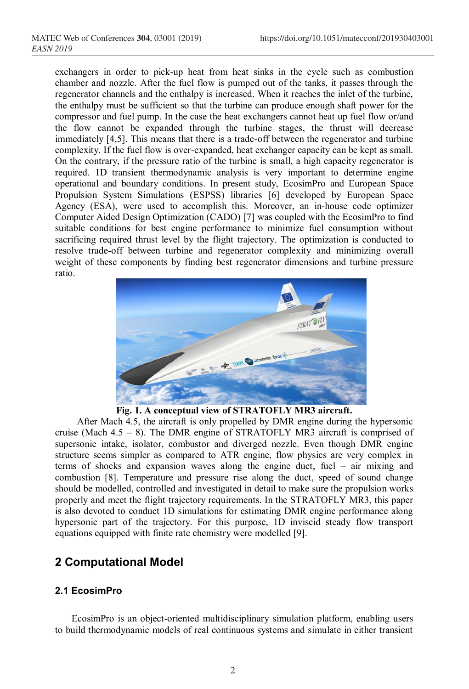exchangers in order to pick-up heat from heat sinks in the cycle such as combustion chamber and nozzle. After the fuel flow is pumped out of the tanks, it passes through the regenerator channels and the enthalpy is increased. When it reaches the inlet of the turbine, the enthalpy must be sufficient so that the turbine can produce enough shaft power for the compressor and fuel pump. In the case the heat exchangers cannot heat up fuel flow or/and the flow cannot be expanded through the turbine stages, the thrust will decrease immediately [4,5]. This means that there is a trade-off between the regenerator and turbine complexity. If the fuel flow is over-expanded, heat exchanger capacity can be kept as small. On the contrary, if the pressure ratio of the turbine is small, a high capacity regenerator is required. 1D transient thermodynamic analysis is very important to determine engine operational and boundary conditions. In present study, EcosimPro and European Space Propulsion System Simulations (ESPSS) libraries [6] developed by European Space Agency (ESA), were used to accomplish this. Moreover, an in-house code optimizer Computer Aided Design Optimization (CADO) [7] was coupled with the EcosimPro to find suitable conditions for best engine performance to minimize fuel consumption without sacrificing required thrust level by the flight trajectory. The optimization is conducted to resolve trade-off between turbine and regenerator complexity and minimizing overall weight of these components by finding best regenerator dimensions and turbine pressure ratio.



**Fig. 1. A conceptual view of STRATOFLY MR3 aircraft.**

After Mach 4.5, the aircraft is only propelled by DMR engine during the hypersonic cruise (Mach  $4.5 - 8$ ). The DMR engine of STRATOFLY MR3 aircraft is comprised of supersonic intake, isolator, combustor and diverged nozzle. Even though DMR engine structure seems simpler as compared to ATR engine, flow physics are very complex in terms of shocks and expansion waves along the engine duct, fuel – air mixing and combustion [8]. Temperature and pressure rise along the duct, speed of sound change should be modelled, controlled and investigated in detail to make sure the propulsion works properly and meet the flight trajectory requirements. In the STRATOFLY MR3, this paper is also devoted to conduct 1D simulations for estimating DMR engine performance along hypersonic part of the trajectory. For this purpose, 1D inviscid steady flow transport equations equipped with finite rate chemistry were modelled [9].

# **2 Computational Model**

### **2.1 EcosimPro**

EcosimPro is an object-oriented multidisciplinary simulation platform, enabling users to build thermodynamic models of real continuous systems and simulate in either transient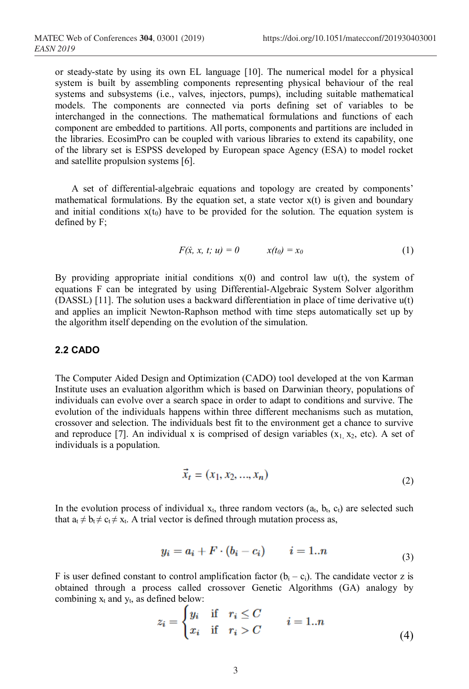or steady-state by using its own EL language [10]. The numerical model for a physical system is built by assembling components representing physical behaviour of the real systems and subsystems (i.e., valves, injectors, pumps), including suitable mathematical models. The components are connected via ports defining set of variables to be interchanged in the connections. The mathematical formulations and functions of each component are embedded to partitions. All ports, components and partitions are included in the libraries. EcosimPro can be coupled with various libraries to extend its capability, one of the library set is ESPSS developed by European space Agency (ESA) to model rocket and satellite propulsion systems [6].

A set of differential-algebraic equations and topology are created by components' mathematical formulations. By the equation set, a state vector  $x(t)$  is given and boundary and initial conditions  $x(t_0)$  have to be provided for the solution. The equation system is defined by F;

$$
F(x, x, t; u) = 0 \t x(t_0) = x_0 \t (1)
$$

By providing appropriate initial conditions  $x(0)$  and control law  $u(t)$ , the system of equations F can be integrated by using Differential-Algebraic System Solver algorithm (DASSL) [11]. The solution uses a backward differentiation in place of time derivative u(t) and applies an implicit Newton-Raphson method with time steps automatically set up by the algorithm itself depending on the evolution of the simulation.

#### **2.2 CADO**

The Computer Aided Design and Optimization (CADO) tool developed at the von Karman Institute uses an evaluation algorithm which is based on Darwinian theory, populations of individuals can evolve over a search space in order to adapt to conditions and survive. The evolution of the individuals happens within three different mechanisms such as mutation, crossover and selection. The individuals best fit to the environment get a chance to survive and reproduce [7]. An individual x is comprised of design variables  $(x_1, x_2, etc)$ . A set of individuals is a population.

$$
\vec{x}_t = (x_1, x_2, ..., x_n)
$$
 (2)

In the evolution process of individual  $x_t$ , three random vectors  $(a_t, b_t, c_t)$  are selected such that  $a_t \neq b_t \neq c_t \neq x_t$ . A trial vector is defined through mutation process as,

$$
y_i = a_i + F \cdot (b_i - c_i)
$$
  $i = 1..n$  (3)

F is user defined constant to control amplification factor  $(b_i - c_i)$ . The candidate vector z is obtained through a process called crossover Genetic Algorithms (GA) analogy by combining  $x_t$  and  $y_t$ , as defined below:

$$
z_i = \begin{cases} y_i & \text{if } r_i \le C \\ x_i & \text{if } r_i > C \end{cases} \qquad i = 1..n
$$
 (4)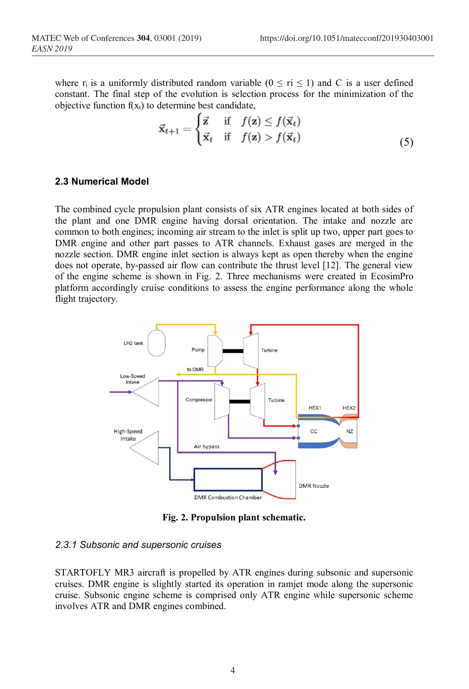where  $r_i$  is a uniformly distributed random variable  $(0 \le r_i \le 1)$  and C is a user defined constant. The final step of the evolution is selection process for the minimization of the objective function  $f(x_t)$  to determine best candidate,

$$
\vec{\mathbf{x}}_{t+1} = \begin{cases} \vec{\mathbf{z}} & \text{if } f(\mathbf{z}) \le f(\vec{\mathbf{x}}_t) \\ \vec{\mathbf{x}}_t & \text{if } f(\mathbf{z}) > f(\vec{\mathbf{x}}_t) \end{cases} \tag{5}
$$

#### **2.3 Numerical Model**

The combined cycle propulsion plant consists of six ATR engines located at both sides of the plant and one DMR engine having dorsal orientation. The intake and nozzle are common to both engines; incoming air stream to the inlet is split up two, upper part goes to DMR engine and other part passes to ATR channels. Exhaust gases are merged in the nozzle section. DMR engine inlet section is always kept as open thereby when the engine does not operate, by-passed air flow can contribute the thrust level [12]. The general view of the engine scheme is shown in Fig. 2. Three mechanisms were created in EcosimPro platform accordingly cruise conditions to assess the engine performance along the whole flight trajectory.



**Fig. 2. Propulsion plant schematic.**

#### *2.3.1 Subsonic and supersonic cruises*

STARTOFLY MR3 aircraft is propelled by ATR engines during subsonic and supersonic cruises. DMR engine is slightly started its operation in ramjet mode along the supersonic cruise. Subsonic engine scheme is comprised only ATR engine while supersonic scheme involves ATR and DMR engines combined.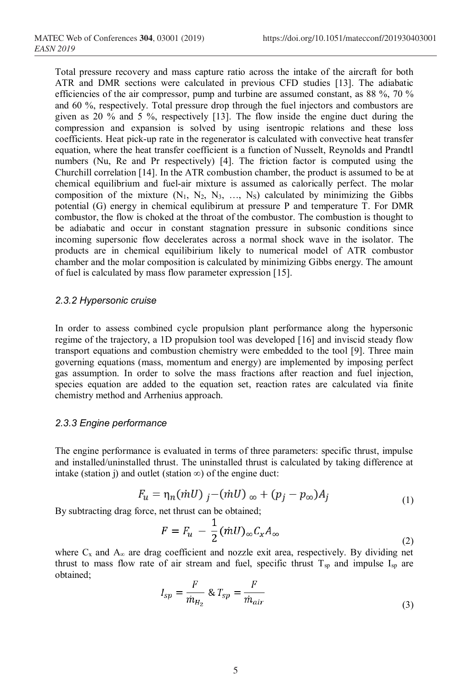Total pressure recovery and mass capture ratio across the intake of the aircraft for both ATR and DMR sections were calculated in previous CFD studies [13]. The adiabatic efficiencies of the air compressor, pump and turbine are assumed constant, as 88 %, 70 % and 60 %, respectively. Total pressure drop through the fuel injectors and combustors are given as 20  $\%$  and 5  $\%$ , respectively [13]. The flow inside the engine duct during the compression and expansion is solved by using isentropic relations and these loss coefficients. Heat pick-up rate in the regenerator is calculated with convective heat transfer equation, where the heat transfer coefficient is a function of Nusselt, Reynolds and Prandtl numbers (Nu, Re and Pr respectively) [4]. The friction factor is computed using the Churchill correlation [14]. In the ATR combustion chamber, the product is assumed to be at chemical equilibrium and fuel-air mixture is assumed as calorically perfect. The molar composition of the mixture  $(N_1, N_2, N_3, ..., N_S)$  calculated by minimizing the Gibbs potential (G) energy in chemical equlibirum at pressure P and temperature T. For DMR combustor, the flow is choked at the throat of the combustor. The combustion is thought to be adiabatic and occur in constant stagnation pressure in subsonic conditions since incoming supersonic flow decelerates across a normal shock wave in the isolator. The products are in chemical equilibirium likely to numerical model of ATR combustor chamber and the molar composition is calculated by minimizing Gibbs energy. The amount of fuel is calculated by mass flow parameter expression [15].

#### *2.3.2 Hypersonic cruise*

In order to assess combined cycle propulsion plant performance along the hypersonic regime of the trajectory, a 1D propulsion tool was developed [16] and inviscid steady flow transport equations and combustion chemistry were embedded to the tool [9]. Three main governing equations (mass, momentum and energy) are implemented by imposing perfect gas assumption. In order to solve the mass fractions after reaction and fuel injection, species equation are added to the equation set, reaction rates are calculated via finite chemistry method and Arrhenius approach.

#### *2.3.3 Engine performance*

The engine performance is evaluated in terms of three parameters: specific thrust, impulse and installed/uninstalled thrust. The uninstalled thrust is calculated by taking difference at intake (station j) and outlet (station  $\infty$ ) of the engine duct:

$$
F_u = \eta_n(\dot{m}U) \, j - (\dot{m}U) \, \infty + (p_j - p_\infty)A_j \tag{1}
$$

By subtracting drag force, net thrust can be obtained;

$$
F = F_u - \frac{1}{2} (\dot{m} U)_{\infty} C_x A_{\infty}
$$
\n<sup>(2)</sup>

where  $C_x$  and  $A_\infty$  are drag coefficient and nozzle exit area, respectively. By dividing net thrust to mass flow rate of air stream and fuel, specific thrust  $T_{sp}$  and impulse  $I_{sp}$  are obtained;

$$
I_{sp} = \frac{F}{\dot{m}_{H_2}} \& T_{sp} = \frac{F}{\dot{m}_{air}}
$$
\n(3)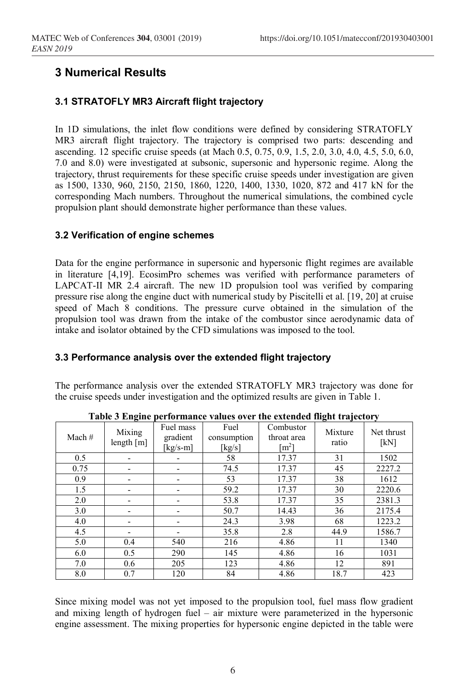# **3 Numerical Results**

### **3.1 STRATOFLY MR3 Aircraft flight trajectory**

In 1D simulations, the inlet flow conditions were defined by considering STRATOFLY MR3 aircraft flight trajectory. The trajectory is comprised two parts: descending and ascending. 12 specific cruise speeds (at Mach 0.5, 0.75, 0.9, 1.5, 2.0, 3.0, 4.0, 4.5, 5.0, 6.0, 7.0 and 8.0) were investigated at subsonic, supersonic and hypersonic regime. Along the trajectory, thrust requirements for these specific cruise speeds under investigation are given as 1500, 1330, 960, 2150, 2150, 1860, 1220, 1400, 1330, 1020, 872 and 417 kN for the corresponding Mach numbers. Throughout the numerical simulations, the combined cycle propulsion plant should demonstrate higher performance than these values.

### **3.2 Verification of engine schemes**

Data for the engine performance in supersonic and hypersonic flight regimes are available in literature [4,19]. EcosimPro schemes was verified with performance parameters of LAPCAT-II MR 2.4 aircraft. The new 1D propulsion tool was verified by comparing pressure rise along the engine duct with numerical study by Piscitelli et al. [19, 20] at cruise speed of Mach 8 conditions. The pressure curve obtained in the simulation of the propulsion tool was drawn from the intake of the combustor since aerodynamic data of intake and isolator obtained by the CFD simulations was imposed to the tool.

#### **3.3 Performance analysis over the extended flight trajectory**

The performance analysis over the extended STRATOFLY MR3 trajectory was done for the cruise speeds under investigation and the optimized results are given in Table 1.

| $\ldots$ |                      |                                   |                               | performance values over the extended ingite trajectory |                  |                    |
|----------|----------------------|-----------------------------------|-------------------------------|--------------------------------------------------------|------------------|--------------------|
| Mach $#$ | Mixing<br>length [m] | Fuel mass<br>gradient<br>[kg/s-m] | Fuel<br>consumption<br>[kg/s] | Combustor<br>throat area<br>$\lceil m^2 \rceil$        | Mixture<br>ratio | Net thrust<br>[kN] |
| 0.5      |                      |                                   | 58                            | 17.37                                                  | 31               | 1502               |
| 0.75     |                      |                                   | 74.5                          | 17.37                                                  | 45               | 2227.2             |
| 0.9      |                      |                                   | 53                            | 17.37                                                  | 38               | 1612               |
| 1.5      |                      |                                   | 59.2                          | 17.37                                                  | 30               | 2220.6             |
| 2.0      |                      |                                   | 53.8                          | 17.37                                                  | 35               | 2381.3             |
| 3.0      | -                    |                                   | 50.7                          | 14.43                                                  | 36               | 2175.4             |
| 4.0      |                      |                                   | 24.3                          | 3.98                                                   | 68               | 1223.2             |
| 4.5      |                      |                                   | 35.8                          | 2.8                                                    | 44.9             | 1586.7             |
| 5.0      | 0.4                  | 540                               | 216                           | 4.86                                                   | 11               | 1340               |
| 6.0      | 0.5                  | 290                               | 145                           | 4.86                                                   | 16               | 1031               |
| 7.0      | 0.6                  | 205                               | 123                           | 4.86                                                   | 12               | 891                |
| 8.0      | 0.7                  | 120                               | 84                            | 4.86                                                   | 18.7             | 423                |

**Table 3 Engine performance values over the extended flight trajectory**

Since mixing model was not yet imposed to the propulsion tool, fuel mass flow gradient and mixing length of hydrogen fuel – air mixture were parameterized in the hypersonic engine assessment. The mixing properties for hypersonic engine depicted in the table were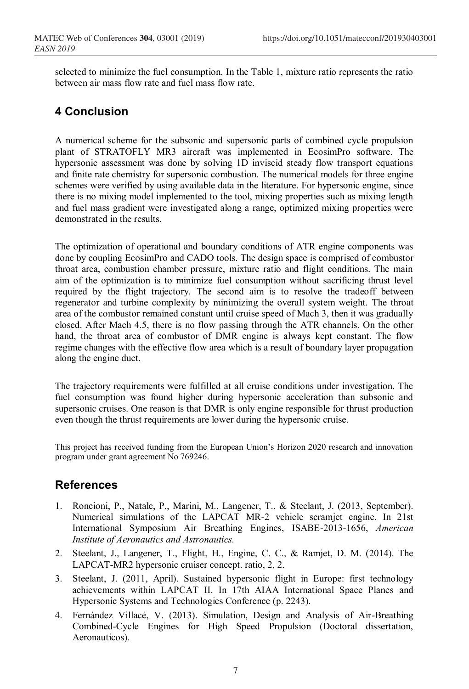selected to minimize the fuel consumption. In the Table 1, mixture ratio represents the ratio between air mass flow rate and fuel mass flow rate.

# **4 Conclusion**

A numerical scheme for the subsonic and supersonic parts of combined cycle propulsion plant of STRATOFLY MR3 aircraft was implemented in EcosimPro software. The hypersonic assessment was done by solving 1D inviscid steady flow transport equations and finite rate chemistry for supersonic combustion. The numerical models for three engine schemes were verified by using available data in the literature. For hypersonic engine, since there is no mixing model implemented to the tool, mixing properties such as mixing length and fuel mass gradient were investigated along a range, optimized mixing properties were demonstrated in the results.

The optimization of operational and boundary conditions of ATR engine components was done by coupling EcosimPro and CADO tools. The design space is comprised of combustor throat area, combustion chamber pressure, mixture ratio and flight conditions. The main aim of the optimization is to minimize fuel consumption without sacrificing thrust level required by the flight trajectory. The second aim is to resolve the tradeoff between regenerator and turbine complexity by minimizing the overall system weight. The throat area of the combustor remained constant until cruise speed of Mach 3, then it was gradually closed. After Mach 4.5, there is no flow passing through the ATR channels. On the other hand, the throat area of combustor of DMR engine is always kept constant. The flow regime changes with the effective flow area which is a result of boundary layer propagation along the engine duct.

The trajectory requirements were fulfilled at all cruise conditions under investigation. The fuel consumption was found higher during hypersonic acceleration than subsonic and supersonic cruises. One reason is that DMR is only engine responsible for thrust production even though the thrust requirements are lower during the hypersonic cruise.

This project has received funding from the European Union's Horizon 2020 research and innovation program under grant agreement No 769246.

# **References**

- 1. Roncioni, P., Natale, P., Marini, M., Langener, T., & Steelant, J. (2013, September). Numerical simulations of the LAPCAT MR-2 vehicle scramjet engine. In 21st International Symposium Air Breathing Engines, ISABE-2013-1656, *American Institute of Aeronautics and Astronautics.*
- 2. Steelant, J., Langener, T., Flight, H., Engine, C. C., & Ramjet, D. M. (2014). The LAPCAT-MR2 hypersonic cruiser concept. ratio, 2, 2.
- 3. Steelant, J. (2011, April). Sustained hypersonic flight in Europe: first technology achievements within LAPCAT II. In 17th AIAA International Space Planes and Hypersonic Systems and Technologies Conference (p. 2243).
- 4. Fernández Villacé, V. (2013). Simulation, Design and Analysis of Air-Breathing Combined-Cycle Engines for High Speed Propulsion (Doctoral dissertation, Aeronauticos).